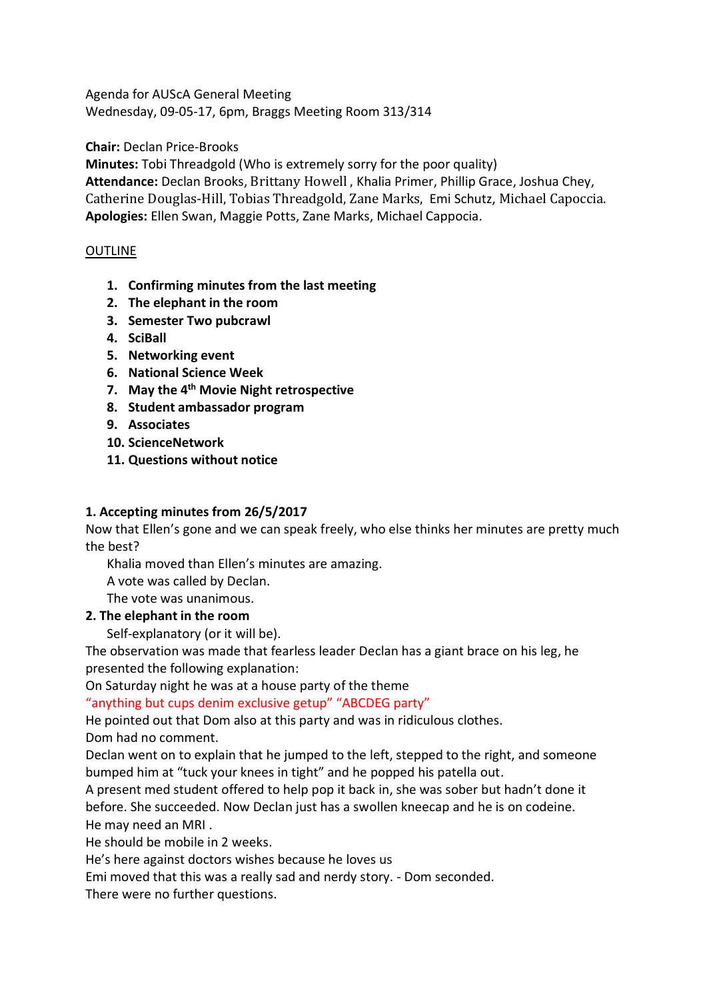Agenda for AUScA General Meeting Wednesday, 09-05-17, 6pm, Braggs Meeting Room 313/314

**Chair:** Declan Price-Brooks

**Minutes:** Tobi Threadgold (Who is extremely sorry for the poor quality)

**Attendance:** Declan Brooks, Brittany Howell , Khalia Primer, Phillip Grace, Joshua Chey, Catherine Douglas-Hill, Tobias Threadgold, Zane Marks, Emi Schutz, Michael Capoccia. **Apologies:** Ellen Swan, Maggie Potts, Zane Marks, Michael Cappocia.

### OUTLINE

- **1. Confirming minutes from the last meeting**
- **2. The elephant in the room**
- **3. Semester Two pubcrawl**
- **4. SciBall**
- **5. Networking event**
- **6. National Science Week**
- **7. May the 4th Movie Night retrospective**
- **8. Student ambassador program**
- **9. Associates**
- **10. ScienceNetwork**
- **11. Questions without notice**

#### **1. Accepting minutes from 26/5/2017**

Now that Ellen's gone and we can speak freely, who else thinks her minutes are pretty much the best?

Khalia moved than Ellen's minutes are amazing.

A vote was called by Declan.

The vote was unanimous.

**2. The elephant in the room**

Self-explanatory (or it will be).

The observation was made that fearless leader Declan has a giant brace on his leg, he presented the following explanation:

On Saturday night he was at a house party of the theme

"anything but cups denim exclusive getup" "ABCDEG party"

He pointed out that Dom also at this party and was in ridiculous clothes.

Dom had no comment.

Declan went on to explain that he jumped to the left, stepped to the right, and someone bumped him at "tuck your knees in tight" and he popped his patella out.

A present med student offered to help pop it back in, she was sober but hadn't done it before. She succeeded. Now Declan just has a swollen kneecap and he is on codeine. He may need an MRI .

He should be mobile in 2 weeks.

He's here against doctors wishes because he loves us

Emi moved that this was a really sad and nerdy story. - Dom seconded.

There were no further questions.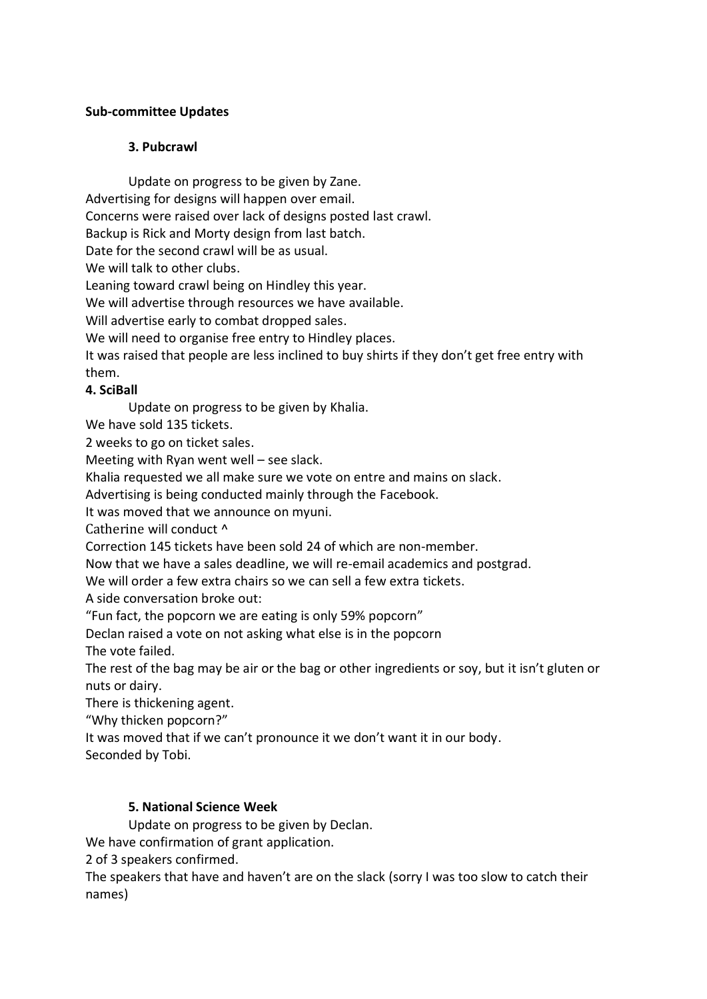### **Sub-committee Updates**

### **3. Pubcrawl**

Update on progress to be given by Zane.

Advertising for designs will happen over email.

Concerns were raised over lack of designs posted last crawl.

Backup is Rick and Morty design from last batch.

Date for the second crawl will be as usual.

We will talk to other clubs.

Leaning toward crawl being on Hindley this year.

We will advertise through resources we have available.

Will advertise early to combat dropped sales.

We will need to organise free entry to Hindley places.

It was raised that people are less inclined to buy shirts if they don't get free entry with them.

#### **4. SciBall**

Update on progress to be given by Khalia.

We have sold 135 tickets.

2 weeks to go on ticket sales.

Meeting with Ryan went well – see slack.

Khalia requested we all make sure we vote on entre and mains on slack.

Advertising is being conducted mainly through the Facebook.

It was moved that we announce on myuni.

Catherine will conduct ^

Correction 145 tickets have been sold 24 of which are non-member.

Now that we have a sales deadline, we will re-email academics and postgrad.

We will order a few extra chairs so we can sell a few extra tickets.

A side conversation broke out:

"Fun fact, the popcorn we are eating is only 59% popcorn"

Declan raised a vote on not asking what else is in the popcorn

The vote failed.

The rest of the bag may be air or the bag or other ingredients or soy, but it isn't gluten or nuts or dairy.

There is thickening agent.

"Why thicken popcorn?"

It was moved that if we can't pronounce it we don't want it in our body.

Seconded by Tobi.

#### **5. National Science Week**

Update on progress to be given by Declan.

We have confirmation of grant application.

2 of 3 speakers confirmed.

The speakers that have and haven't are on the slack (sorry I was too slow to catch their names)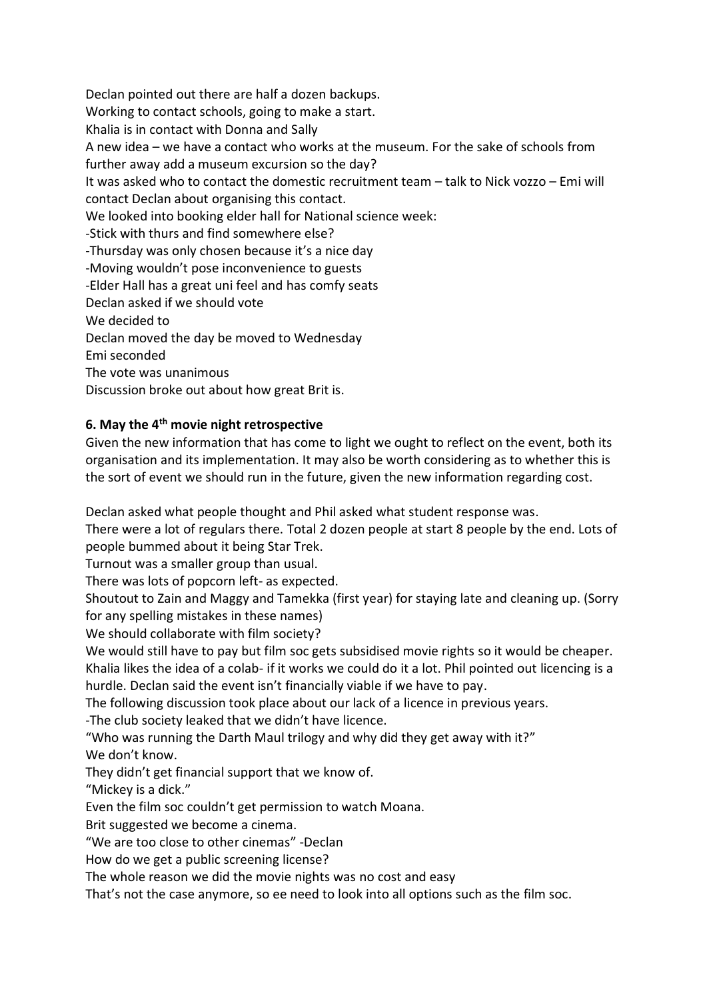Declan pointed out there are half a dozen backups. Working to contact schools, going to make a start. Khalia is in contact with Donna and Sally A new idea – we have a contact who works at the museum. For the sake of schools from further away add a museum excursion so the day? It was asked who to contact the domestic recruitment team – talk to Nick vozzo – Emi will contact Declan about organising this contact. We looked into booking elder hall for National science week: -Stick with thurs and find somewhere else? -Thursday was only chosen because it's a nice day -Moving wouldn't pose inconvenience to guests -Elder Hall has a great uni feel and has comfy seats Declan asked if we should vote We decided to Declan moved the day be moved to Wednesday Emi seconded The vote was unanimous

Discussion broke out about how great Brit is.

#### **6. May the 4 th movie night retrospective**

Given the new information that has come to light we ought to reflect on the event, both its organisation and its implementation. It may also be worth considering as to whether this is the sort of event we should run in the future, given the new information regarding cost.

Declan asked what people thought and Phil asked what student response was.

There were a lot of regulars there. Total 2 dozen people at start 8 people by the end. Lots of people bummed about it being Star Trek.

Turnout was a smaller group than usual.

There was lots of popcorn left- as expected.

Shoutout to Zain and Maggy and Tamekka (first year) for staying late and cleaning up. (Sorry for any spelling mistakes in these names)

We should collaborate with film society?

We would still have to pay but film soc gets subsidised movie rights so it would be cheaper. Khalia likes the idea of a colab- if it works we could do it a lot. Phil pointed out licencing is a

hurdle. Declan said the event isn't financially viable if we have to pay.

The following discussion took place about our lack of a licence in previous years.

-The club society leaked that we didn't have licence.

"Who was running the Darth Maul trilogy and why did they get away with it?" We don't know.

They didn't get financial support that we know of.

"Mickey is a dick."

Even the film soc couldn't get permission to watch Moana.

Brit suggested we become a cinema.

"We are too close to other cinemas" -Declan

How do we get a public screening license?

The whole reason we did the movie nights was no cost and easy

That's not the case anymore, so ee need to look into all options such as the film soc.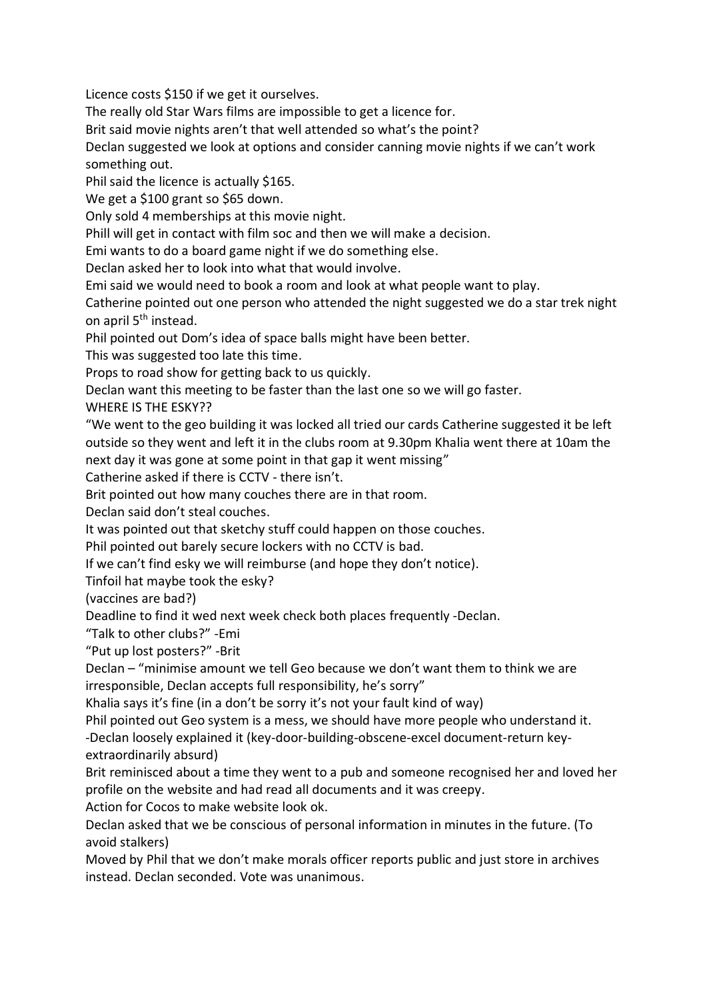Licence costs \$150 if we get it ourselves.

The really old Star Wars films are impossible to get a licence for.

Brit said movie nights aren't that well attended so what's the point?

Declan suggested we look at options and consider canning movie nights if we can't work something out.

Phil said the licence is actually \$165.

We get a \$100 grant so \$65 down.

Only sold 4 memberships at this movie night.

Phill will get in contact with film soc and then we will make a decision.

Emi wants to do a board game night if we do something else.

Declan asked her to look into what that would involve.

Emi said we would need to book a room and look at what people want to play.

Catherine pointed out one person who attended the night suggested we do a star trek night on april 5<sup>th</sup> instead.

Phil pointed out Dom's idea of space balls might have been better.

This was suggested too late this time.

Props to road show for getting back to us quickly.

Declan want this meeting to be faster than the last one so we will go faster.

WHERE IS THE ESKY??

"We went to the geo building it was locked all tried our cards Catherine suggested it be left outside so they went and left it in the clubs room at 9.30pm Khalia went there at 10am the next day it was gone at some point in that gap it went missing"

Catherine asked if there is CCTV - there isn't.

Brit pointed out how many couches there are in that room.

Declan said don't steal couches.

It was pointed out that sketchy stuff could happen on those couches.

Phil pointed out barely secure lockers with no CCTV is bad.

If we can't find esky we will reimburse (and hope they don't notice).

Tinfoil hat maybe took the esky?

(vaccines are bad?)

Deadline to find it wed next week check both places frequently -Declan.

"Talk to other clubs?" -Emi

"Put up lost posters?" -Brit

Declan – "minimise amount we tell Geo because we don't want them to think we are irresponsible, Declan accepts full responsibility, he's sorry"

Khalia says it's fine (in a don't be sorry it's not your fault kind of way)

Phil pointed out Geo system is a mess, we should have more people who understand it.

-Declan loosely explained it (key-door-building-obscene-excel document-return keyextraordinarily absurd)

Brit reminisced about a time they went to a pub and someone recognised her and loved her profile on the website and had read all documents and it was creepy.

Action for Cocos to make website look ok.

Declan asked that we be conscious of personal information in minutes in the future. (To avoid stalkers)

Moved by Phil that we don't make morals officer reports public and just store in archives instead. Declan seconded. Vote was unanimous.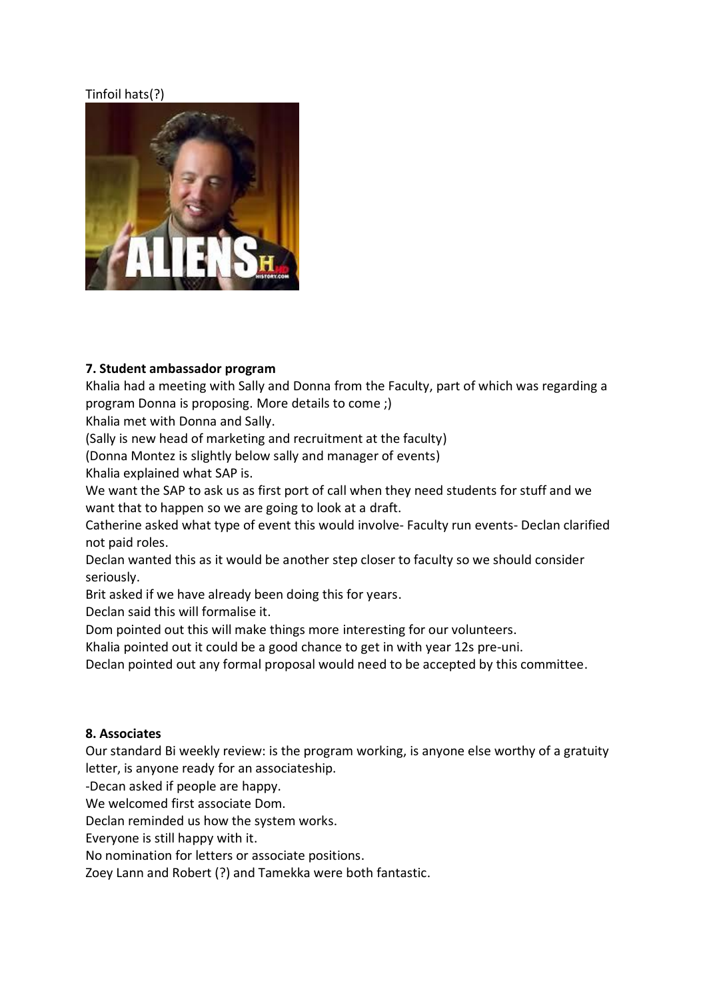# Tinfoil hats(?)



#### **7. Student ambassador program**

Khalia had a meeting with Sally and Donna from the Faculty, part of which was regarding a program Donna is proposing. More details to come ;)

Khalia met with Donna and Sally.

(Sally is new head of marketing and recruitment at the faculty)

(Donna Montez is slightly below sally and manager of events)

Khalia explained what SAP is.

We want the SAP to ask us as first port of call when they need students for stuff and we want that to happen so we are going to look at a draft.

Catherine asked what type of event this would involve- Faculty run events- Declan clarified not paid roles.

Declan wanted this as it would be another step closer to faculty so we should consider seriously.

Brit asked if we have already been doing this for years.

Declan said this will formalise it.

Dom pointed out this will make things more interesting for our volunteers.

Khalia pointed out it could be a good chance to get in with year 12s pre-uni.

Declan pointed out any formal proposal would need to be accepted by this committee.

#### **8. Associates**

Our standard Bi weekly review: is the program working, is anyone else worthy of a gratuity letter, is anyone ready for an associateship.

-Decan asked if people are happy.

We welcomed first associate Dom.

Declan reminded us how the system works.

Everyone is still happy with it.

No nomination for letters or associate positions.

Zoey Lann and Robert (?) and Tamekka were both fantastic.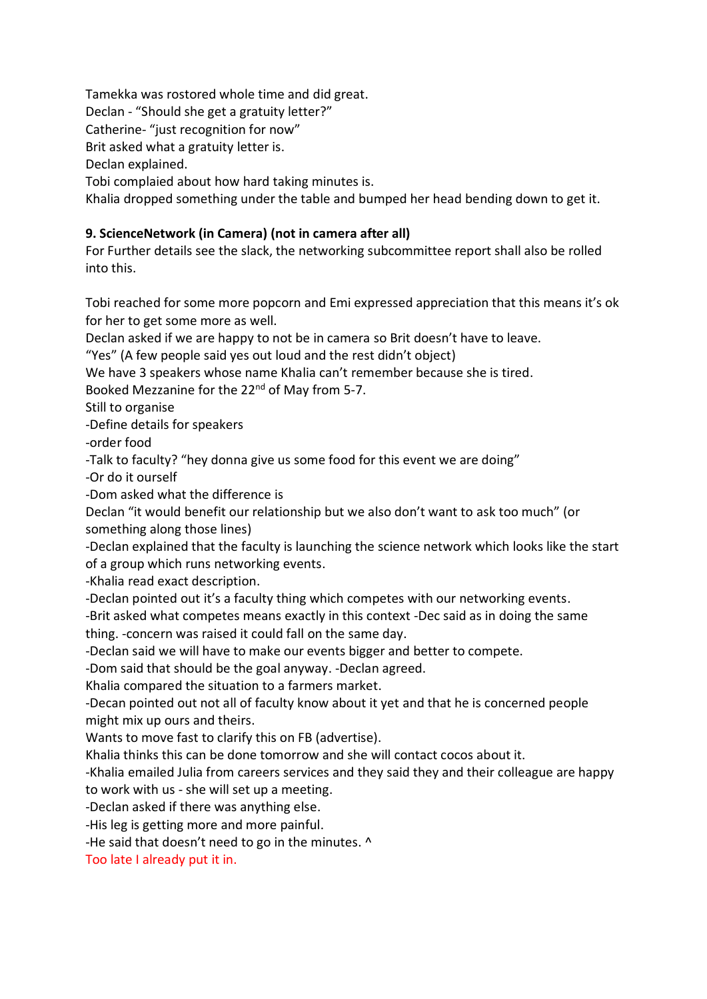Tamekka was rostored whole time and did great.

Declan - "Should she get a gratuity letter?"

Catherine- "just recognition for now"

Brit asked what a gratuity letter is.

Declan explained.

Tobi complaied about how hard taking minutes is.

Khalia dropped something under the table and bumped her head bending down to get it.

## **9. ScienceNetwork (in Camera) (not in camera after all)**

For Further details see the slack, the networking subcommittee report shall also be rolled into this.

Tobi reached for some more popcorn and Emi expressed appreciation that this means it's ok for her to get some more as well.

Declan asked if we are happy to not be in camera so Brit doesn't have to leave.

"Yes" (A few people said yes out loud and the rest didn't object)

We have 3 speakers whose name Khalia can't remember because she is tired.

Booked Mezzanine for the 22<sup>nd</sup> of May from 5-7.

Still to organise

-Define details for speakers

-order food

-Talk to faculty? "hey donna give us some food for this event we are doing"

-Or do it ourself

-Dom asked what the difference is

Declan "it would benefit our relationship but we also don't want to ask too much" (or something along those lines)

-Declan explained that the faculty is launching the science network which looks like the start of a group which runs networking events.

-Khalia read exact description.

-Declan pointed out it's a faculty thing which competes with our networking events.

-Brit asked what competes means exactly in this context -Dec said as in doing the same thing. -concern was raised it could fall on the same day.

-Declan said we will have to make our events bigger and better to compete.

-Dom said that should be the goal anyway. -Declan agreed.

Khalia compared the situation to a farmers market.

-Decan pointed out not all of faculty know about it yet and that he is concerned people might mix up ours and theirs.

Wants to move fast to clarify this on FB (advertise).

Khalia thinks this can be done tomorrow and she will contact cocos about it.

-Khalia emailed Julia from careers services and they said they and their colleague are happy to work with us - she will set up a meeting.

-Declan asked if there was anything else.

-His leg is getting more and more painful.

-He said that doesn't need to go in the minutes. ^

Too late I already put it in.